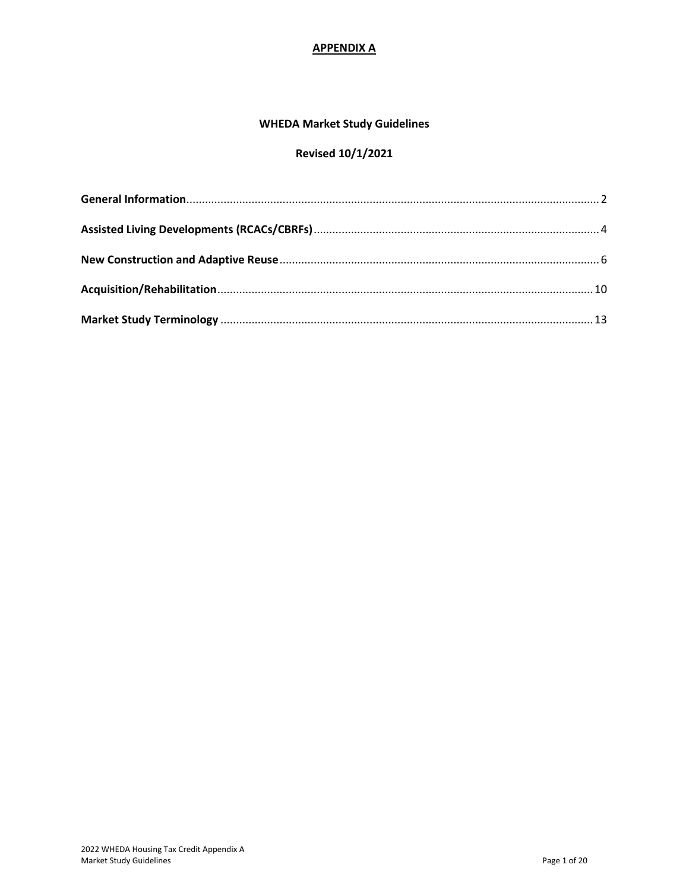### **APPENDIX A**

### **WHEDA Market Study Guidelines**

# **Revised 10/1/2021**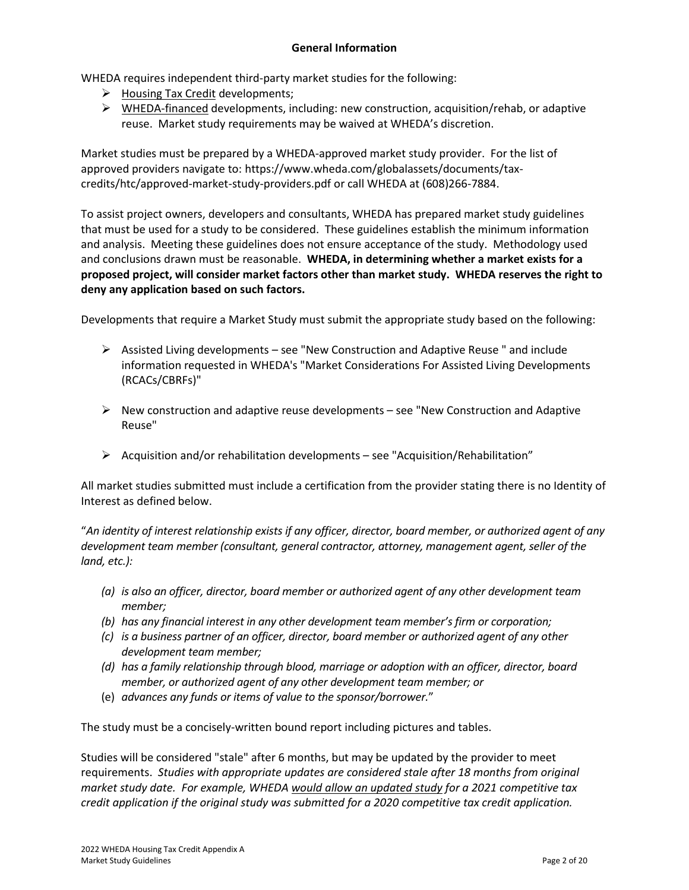### **General Information**

<span id="page-1-0"></span>WHEDA requires independent third-party market studies for the following:

- $\triangleright$  Housing Tax Credit developments;
- ➢ WHEDA-financed developments, including: new construction, acquisition/rehab, or adaptive reuse. Market study requirements may be waived at WHEDA's discretion.

Market studies must be prepared by a WHEDA-approved market study provider. For the list of approved providers navigate to: https://www.wheda.com/globalassets/documents/taxcredits/htc/approved-market-study-providers.pdf or call WHEDA at (608)266-7884.

To assist project owners, developers and consultants, WHEDA has prepared market study guidelines that must be used for a study to be considered. These guidelines establish the minimum information and analysis. Meeting these guidelines does not ensure acceptance of the study. Methodology used and conclusions drawn must be reasonable. **WHEDA, in determining whether a market exists for a proposed project, will consider market factors other than market study. WHEDA reserves the right to deny any application based on such factors.**

Developments that require a Market Study must submit the appropriate study based on the following:

- $\triangleright$  Assisted Living developments see "New Construction and Adaptive Reuse" and include information requested in WHEDA's "Market Considerations For Assisted Living Developments (RCACs/CBRFs)"
- $\triangleright$  New construction and adaptive reuse developments see "New Construction and Adaptive Reuse"
- ➢ Acquisition and/or rehabilitation developments see "Acquisition/Rehabilitation"

All market studies submitted must include a certification from the provider stating there is no Identity of Interest as defined below.

"*An identity of interest relationship exists if any officer, director, board member, or authorized agent of any development team member (consultant, general contractor, attorney, management agent, seller of the land, etc.):*

- *(a) is also an officer, director, board member or authorized agent of any other development team member;*
- *(b) has any financial interest in any other development team member's firm or corporation;*
- *(c) is a business partner of an officer, director, board member or authorized agent of any other development team member;*
- *(d) has a family relationship through blood, marriage or adoption with an officer, director, board member, or authorized agent of any other development team member; or*
- (e) *advances any funds or items of value to the sponsor/borrower.*"

The study must be a concisely-written bound report including pictures and tables.

Studies will be considered "stale" after 6 months, but may be updated by the provider to meet requirements. *Studies with appropriate updates are considered stale after 18 months from original market study date. For example, WHEDA would allow an updated study for a 2021 competitive tax credit application if the original study was submitted for a 2020 competitive tax credit application.*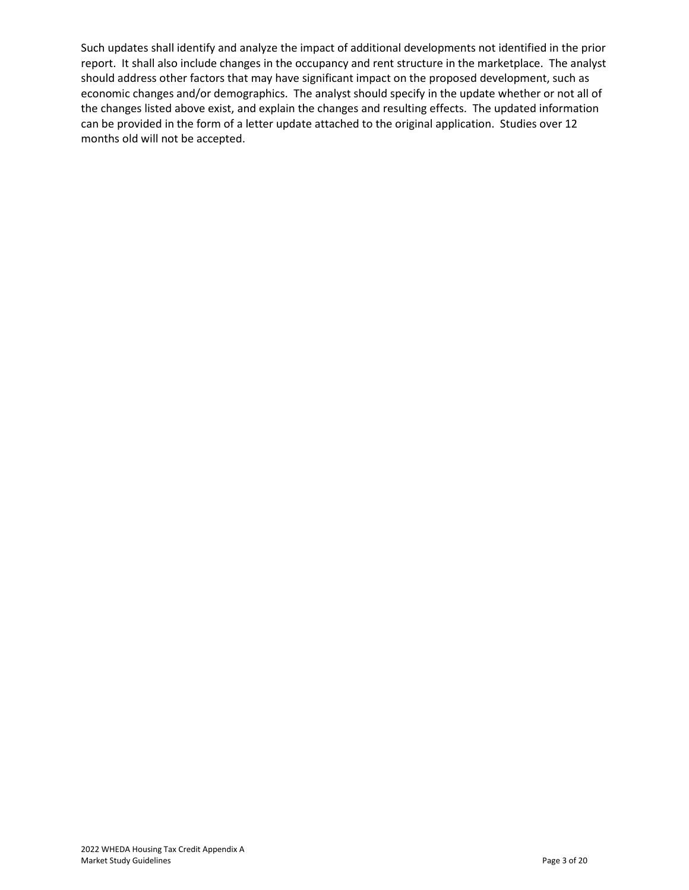Such updates shall identify and analyze the impact of additional developments not identified in the prior report. It shall also include changes in the occupancy and rent structure in the marketplace. The analyst should address other factors that may have significant impact on the proposed development, such as economic changes and/or demographics. The analyst should specify in the update whether or not all of the changes listed above exist, and explain the changes and resulting effects. The updated information can be provided in the form of a letter update attached to the original application. Studies over 12 months old will not be accepted.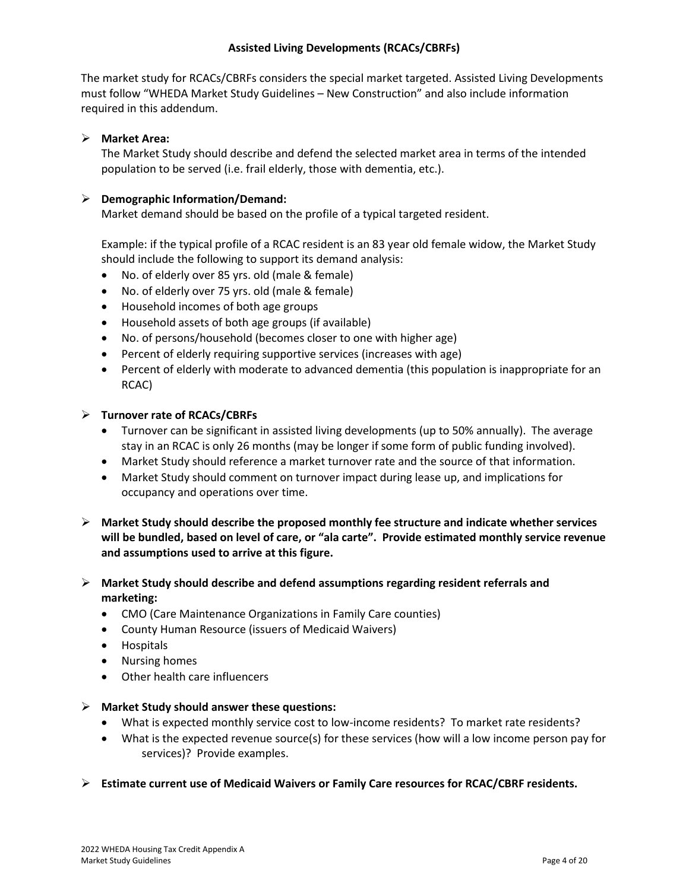### **Assisted Living Developments (RCACs/CBRFs)**

<span id="page-3-0"></span>The market study for RCACs/CBRFs considers the special market targeted. Assisted Living Developments must follow "WHEDA Market Study Guidelines – New Construction" and also include information required in this addendum.

### ➢ **Market Area:**

The Market Study should describe and defend the selected market area in terms of the intended population to be served (i.e. frail elderly, those with dementia, etc.).

### ➢ **Demographic Information/Demand:**

Market demand should be based on the profile of a typical targeted resident.

Example: if the typical profile of a RCAC resident is an 83 year old female widow, the Market Study should include the following to support its demand analysis:

- No. of elderly over 85 yrs. old (male & female)
- No. of elderly over 75 yrs. old (male & female)
- Household incomes of both age groups
- Household assets of both age groups (if available)
- No. of persons/household (becomes closer to one with higher age)
- Percent of elderly requiring supportive services (increases with age)
- Percent of elderly with moderate to advanced dementia (this population is inappropriate for an RCAC)

### ➢ **Turnover rate of RCACs/CBRFs**

- Turnover can be significant in assisted living developments (up to 50% annually). The average stay in an RCAC is only 26 months (may be longer if some form of public funding involved).
- Market Study should reference a market turnover rate and the source of that information.
- Market Study should comment on turnover impact during lease up, and implications for occupancy and operations over time.
- ➢ **Market Study should describe the proposed monthly fee structure and indicate whether services will be bundled, based on level of care, or "ala carte". Provide estimated monthly service revenue and assumptions used to arrive at this figure.**
- ➢ **Market Study should describe and defend assumptions regarding resident referrals and marketing:**
	- CMO (Care Maintenance Organizations in Family Care counties)
	- County Human Resource (issuers of Medicaid Waivers)
	- Hospitals
	- Nursing homes
	- Other health care influencers

### ➢ **Market Study should answer these questions:**

- What is expected monthly service cost to low-income residents? To market rate residents?
- What is the expected revenue source(s) for these services (how will a low income person pay for services)? Provide examples.
- ➢ **Estimate current use of Medicaid Waivers or Family Care resources for RCAC/CBRF residents.**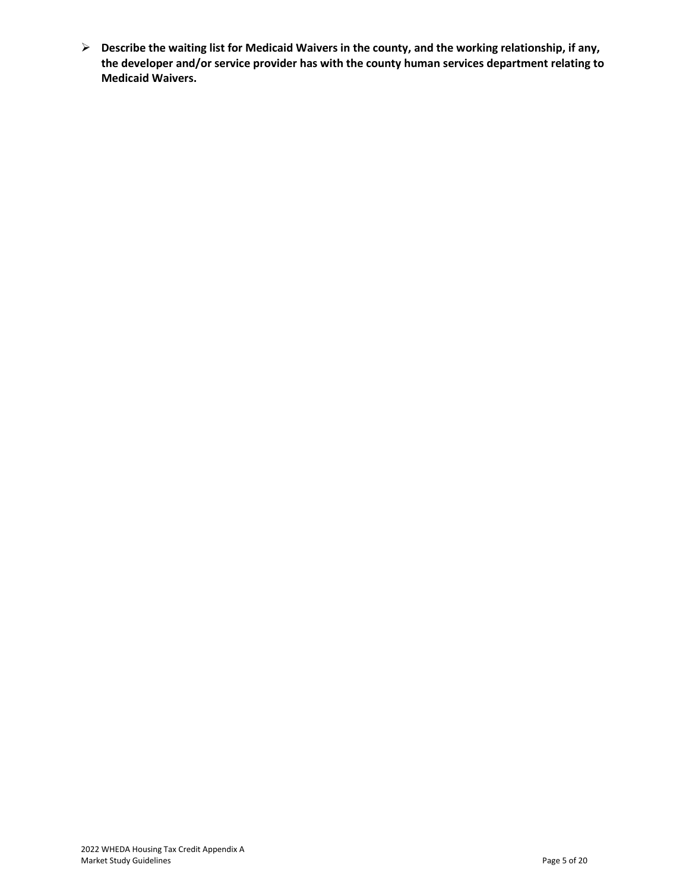➢ **Describe the waiting list for Medicaid Waivers in the county, and the working relationship, if any, the developer and/or service provider has with the county human services department relating to Medicaid Waivers.**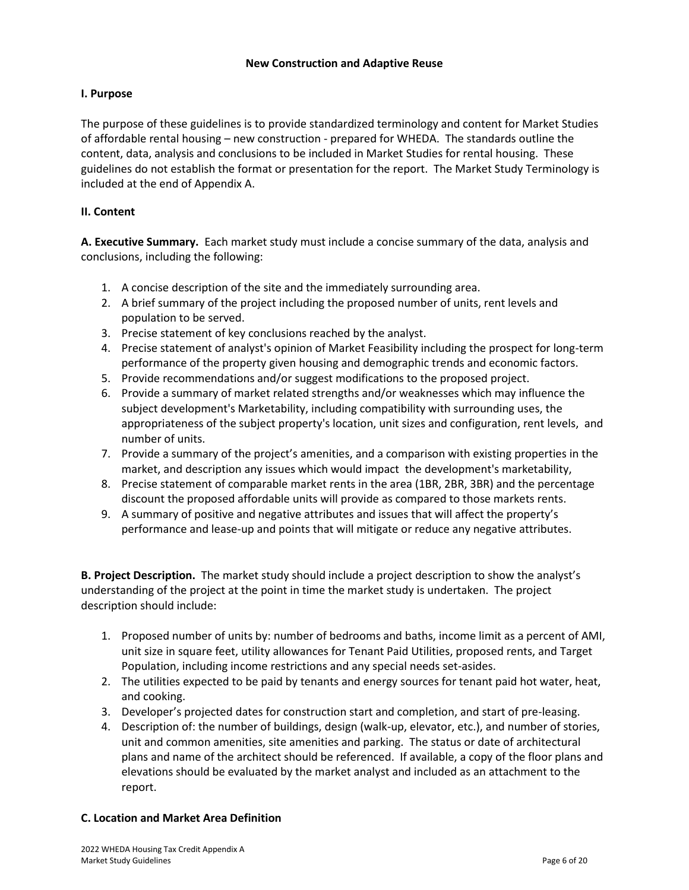### <span id="page-5-0"></span>**I. Purpose**

The purpose of these guidelines is to provide standardized terminology and content for Market Studies of affordable rental housing – new construction - prepared for WHEDA. The standards outline the content, data, analysis and conclusions to be included in Market Studies for rental housing. These guidelines do not establish the format or presentation for the report. The Market Study Terminology is included at the end of Appendix A.

### **II. Content**

**A. Executive Summary.** Each market study must include a concise summary of the data, analysis and conclusions, including the following:

- 1. A concise description of the site and the immediately surrounding area.
- 2. A brief summary of the project including the proposed number of units, rent levels and population to be served.
- 3. Precise statement of key conclusions reached by the analyst.
- 4. Precise statement of analyst's opinion of Market Feasibility including the prospect for long-term performance of the property given housing and demographic trends and economic factors.
- 5. Provide recommendations and/or suggest modifications to the proposed project.
- 6. Provide a summary of market related strengths and/or weaknesses which may influence the subject development's Marketability, including compatibility with surrounding uses, the appropriateness of the subject property's location, unit sizes and configuration, rent levels, and number of units.
- 7. Provide a summary of the project's amenities, and a comparison with existing properties in the market, and description any issues which would impact the development's marketability,
- 8. Precise statement of comparable market rents in the area (1BR, 2BR, 3BR) and the percentage discount the proposed affordable units will provide as compared to those markets rents.
- 9. A summary of positive and negative attributes and issues that will affect the property's performance and lease-up and points that will mitigate or reduce any negative attributes.

**B. Project Description.** The market study should include a project description to show the analyst's understanding of the project at the point in time the market study is undertaken. The project description should include:

- 1. Proposed number of units by: number of bedrooms and baths, income limit as a percent of AMI, unit size in square feet, utility allowances for Tenant Paid Utilities, proposed rents, and Target Population, including income restrictions and any special needs set-asides.
- 2. The utilities expected to be paid by tenants and energy sources for tenant paid hot water, heat, and cooking.
- 3. Developer's projected dates for construction start and completion, and start of pre-leasing.
- 4. Description of: the number of buildings, design (walk-up, elevator, etc.), and number of stories, unit and common amenities, site amenities and parking. The status or date of architectural plans and name of the architect should be referenced. If available, a copy of the floor plans and elevations should be evaluated by the market analyst and included as an attachment to the report.

### **C. Location and Market Area Definition**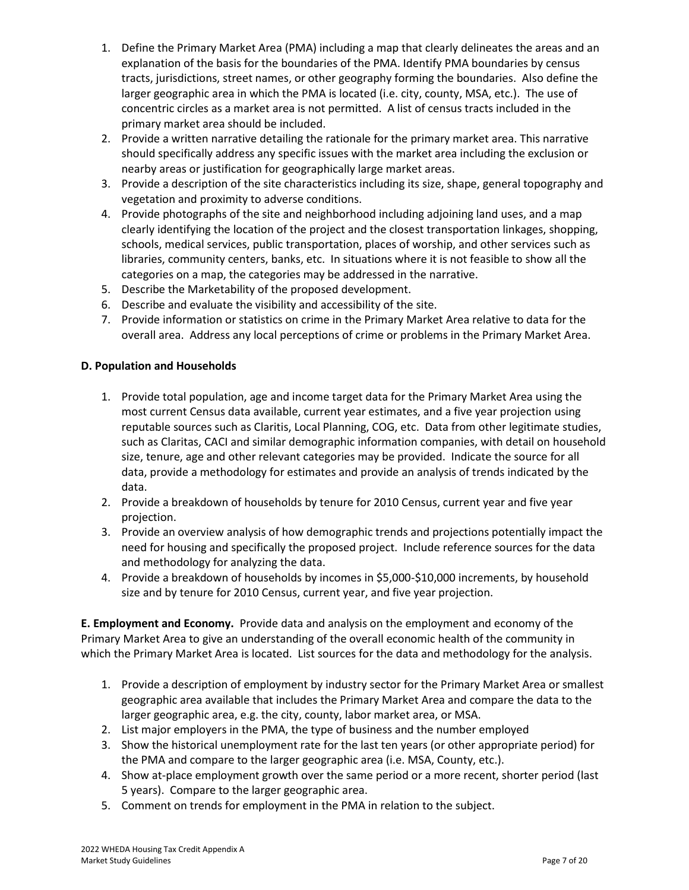- 1. Define the Primary Market Area (PMA) including a map that clearly delineates the areas and an explanation of the basis for the boundaries of the PMA. Identify PMA boundaries by census tracts, jurisdictions, street names, or other geography forming the boundaries. Also define the larger geographic area in which the PMA is located (i.e. city, county, MSA, etc.). The use of concentric circles as a market area is not permitted. A list of census tracts included in the primary market area should be included.
- 2. Provide a written narrative detailing the rationale for the primary market area. This narrative should specifically address any specific issues with the market area including the exclusion or nearby areas or justification for geographically large market areas.
- 3. Provide a description of the site characteristics including its size, shape, general topography and vegetation and proximity to adverse conditions.
- 4. Provide photographs of the site and neighborhood including adjoining land uses, and a map clearly identifying the location of the project and the closest transportation linkages, shopping, schools, medical services, public transportation, places of worship, and other services such as libraries, community centers, banks, etc. In situations where it is not feasible to show all the categories on a map, the categories may be addressed in the narrative.
- 5. Describe the Marketability of the proposed development.
- 6. Describe and evaluate the visibility and accessibility of the site.
- 7. Provide information or statistics on crime in the Primary Market Area relative to data for the overall area. Address any local perceptions of crime or problems in the Primary Market Area.

### **D. Population and Households**

- 1. Provide total population, age and income target data for the Primary Market Area using the most current Census data available, current year estimates, and a five year projection using reputable sources such as Claritis, Local Planning, COG, etc. Data from other legitimate studies, such as Claritas, CACI and similar demographic information companies, with detail on household size, tenure, age and other relevant categories may be provided. Indicate the source for all data, provide a methodology for estimates and provide an analysis of trends indicated by the data.
- 2. Provide a breakdown of households by tenure for 2010 Census, current year and five year projection.
- 3. Provide an overview analysis of how demographic trends and projections potentially impact the need for housing and specifically the proposed project. Include reference sources for the data and methodology for analyzing the data.
- 4. Provide a breakdown of households by incomes in \$5,000-\$10,000 increments, by household size and by tenure for 2010 Census, current year, and five year projection.

**E. Employment and Economy.** Provide data and analysis on the employment and economy of the Primary Market Area to give an understanding of the overall economic health of the community in which the Primary Market Area is located. List sources for the data and methodology for the analysis.

- 1. Provide a description of employment by industry sector for the Primary Market Area or smallest geographic area available that includes the Primary Market Area and compare the data to the larger geographic area, e.g. the city, county, labor market area, or MSA.
- 2. List major employers in the PMA, the type of business and the number employed
- 3. Show the historical unemployment rate for the last ten years (or other appropriate period) for the PMA and compare to the larger geographic area (i.e. MSA, County, etc.).
- 4. Show at-place employment growth over the same period or a more recent, shorter period (last 5 years). Compare to the larger geographic area.
- 5. Comment on trends for employment in the PMA in relation to the subject.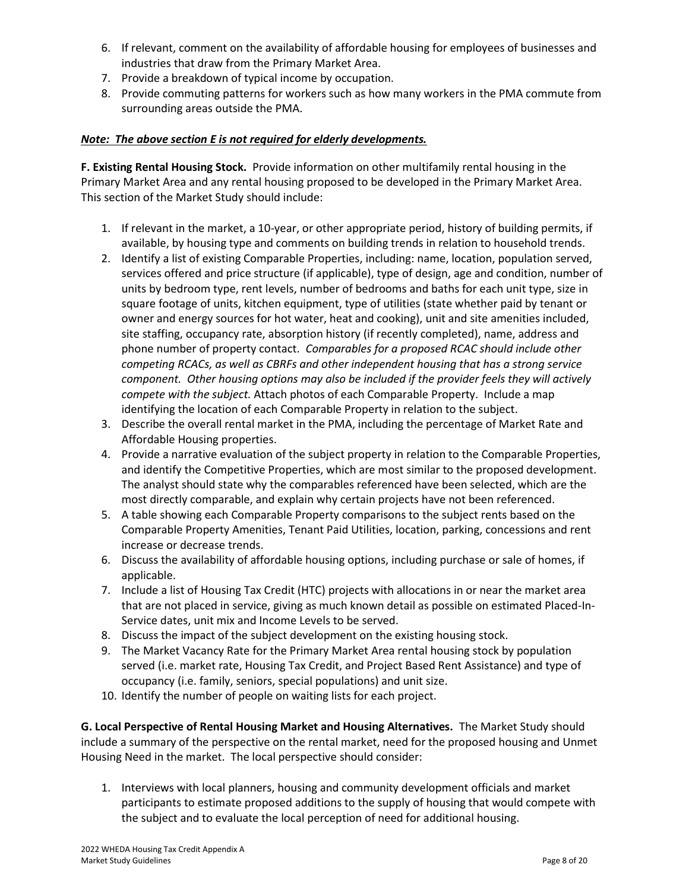- 6. If relevant, comment on the availability of affordable housing for employees of businesses and industries that draw from the Primary Market Area.
- 7. Provide a breakdown of typical income by occupation.
- 8. Provide commuting patterns for workers such as how many workers in the PMA commute from surrounding areas outside the PMA.

### *Note: The above section E is not required for elderly developments.*

**F. Existing Rental Housing Stock.** Provide information on other multifamily rental housing in the Primary Market Area and any rental housing proposed to be developed in the Primary Market Area. This section of the Market Study should include:

- 1. If relevant in the market, a 10-year, or other appropriate period, history of building permits, if available, by housing type and comments on building trends in relation to household trends.
- 2. Identify a list of existing Comparable Properties, including: name, location, population served, services offered and price structure (if applicable), type of design, age and condition, number of units by bedroom type, rent levels, number of bedrooms and baths for each unit type, size in square footage of units, kitchen equipment, type of utilities (state whether paid by tenant or owner and energy sources for hot water, heat and cooking), unit and site amenities included, site staffing, occupancy rate, absorption history (if recently completed), name, address and phone number of property contact. *Comparables for a proposed RCAC should include other competing RCACs, as well as CBRFs and other independent housing that has a strong service component. Other housing options may also be included if the provider feels they will actively compete with the subject.* Attach photos of each Comparable Property. Include a map identifying the location of each Comparable Property in relation to the subject.
- 3. Describe the overall rental market in the PMA, including the percentage of Market Rate and Affordable Housing properties.
- 4. Provide a narrative evaluation of the subject property in relation to the Comparable Properties, and identify the Competitive Properties, which are most similar to the proposed development. The analyst should state why the comparables referenced have been selected, which are the most directly comparable, and explain why certain projects have not been referenced.
- 5. A table showing each Comparable Property comparisons to the subject rents based on the Comparable Property Amenities, Tenant Paid Utilities, location, parking, concessions and rent increase or decrease trends.
- 6. Discuss the availability of affordable housing options, including purchase or sale of homes, if applicable.
- 7. Include a list of Housing Tax Credit (HTC) projects with allocations in or near the market area that are not placed in service, giving as much known detail as possible on estimated Placed-In-Service dates, unit mix and Income Levels to be served.
- 8. Discuss the impact of the subject development on the existing housing stock.
- 9. The Market Vacancy Rate for the Primary Market Area rental housing stock by population served (i.e. market rate, Housing Tax Credit, and Project Based Rent Assistance) and type of occupancy (i.e. family, seniors, special populations) and unit size.
- 10. Identify the number of people on waiting lists for each project.

**G. Local Perspective of Rental Housing Market and Housing Alternatives.** The Market Study should include a summary of the perspective on the rental market, need for the proposed housing and Unmet Housing Need in the market. The local perspective should consider:

1. Interviews with local planners, housing and community development officials and market participants to estimate proposed additions to the supply of housing that would compete with the subject and to evaluate the local perception of need for additional housing.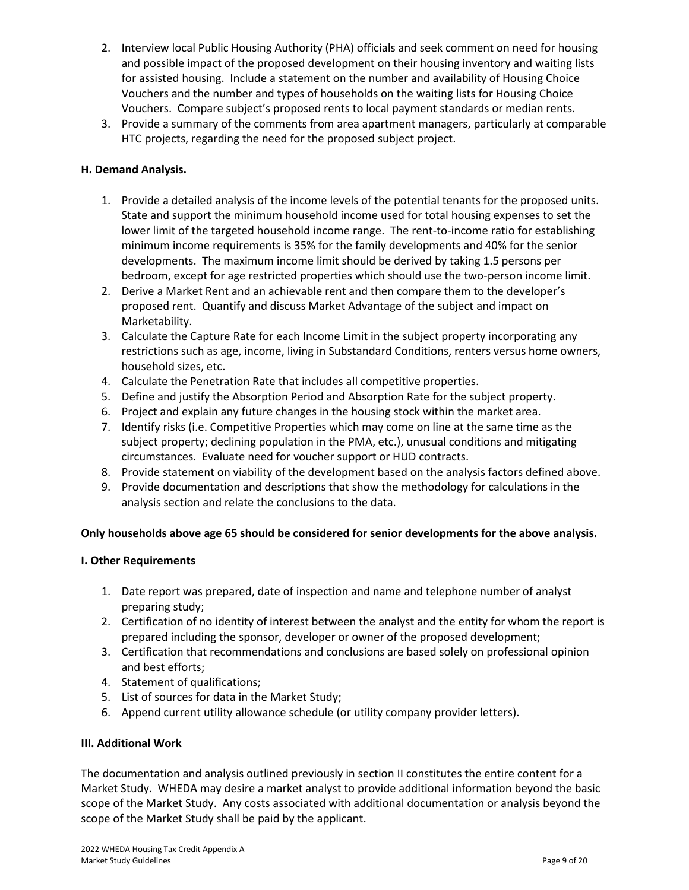- 2. Interview local Public Housing Authority (PHA) officials and seek comment on need for housing and possible impact of the proposed development on their housing inventory and waiting lists for assisted housing. Include a statement on the number and availability of Housing Choice Vouchers and the number and types of households on the waiting lists for Housing Choice Vouchers. Compare subject's proposed rents to local payment standards or median rents.
- 3. Provide a summary of the comments from area apartment managers, particularly at comparable HTC projects, regarding the need for the proposed subject project.

### **H. Demand Analysis.**

- 1. Provide a detailed analysis of the income levels of the potential tenants for the proposed units. State and support the minimum household income used for total housing expenses to set the lower limit of the targeted household income range. The rent-to-income ratio for establishing minimum income requirements is 35% for the family developments and 40% for the senior developments. The maximum income limit should be derived by taking 1.5 persons per bedroom, except for age restricted properties which should use the two-person income limit.
- 2. Derive a Market Rent and an achievable rent and then compare them to the developer's proposed rent. Quantify and discuss Market Advantage of the subject and impact on Marketability.
- 3. Calculate the Capture Rate for each Income Limit in the subject property incorporating any restrictions such as age, income, living in Substandard Conditions, renters versus home owners, household sizes, etc.
- 4. Calculate the Penetration Rate that includes all competitive properties.
- 5. Define and justify the Absorption Period and Absorption Rate for the subject property.
- 6. Project and explain any future changes in the housing stock within the market area.
- 7. Identify risks (i.e. Competitive Properties which may come on line at the same time as the subject property; declining population in the PMA, etc.), unusual conditions and mitigating circumstances. Evaluate need for voucher support or HUD contracts.
- 8. Provide statement on viability of the development based on the analysis factors defined above.
- 9. Provide documentation and descriptions that show the methodology for calculations in the analysis section and relate the conclusions to the data.

### **Only households above age 65 should be considered for senior developments for the above analysis.**

### **I. Other Requirements**

- 1. Date report was prepared, date of inspection and name and telephone number of analyst preparing study;
- 2. Certification of no identity of interest between the analyst and the entity for whom the report is prepared including the sponsor, developer or owner of the proposed development;
- 3. Certification that recommendations and conclusions are based solely on professional opinion and best efforts;
- 4. Statement of qualifications;
- 5. List of sources for data in the Market Study;
- 6. Append current utility allowance schedule (or utility company provider letters).

### **III. Additional Work**

The documentation and analysis outlined previously in section II constitutes the entire content for a Market Study. WHEDA may desire a market analyst to provide additional information beyond the basic scope of the Market Study. Any costs associated with additional documentation or analysis beyond the scope of the Market Study shall be paid by the applicant.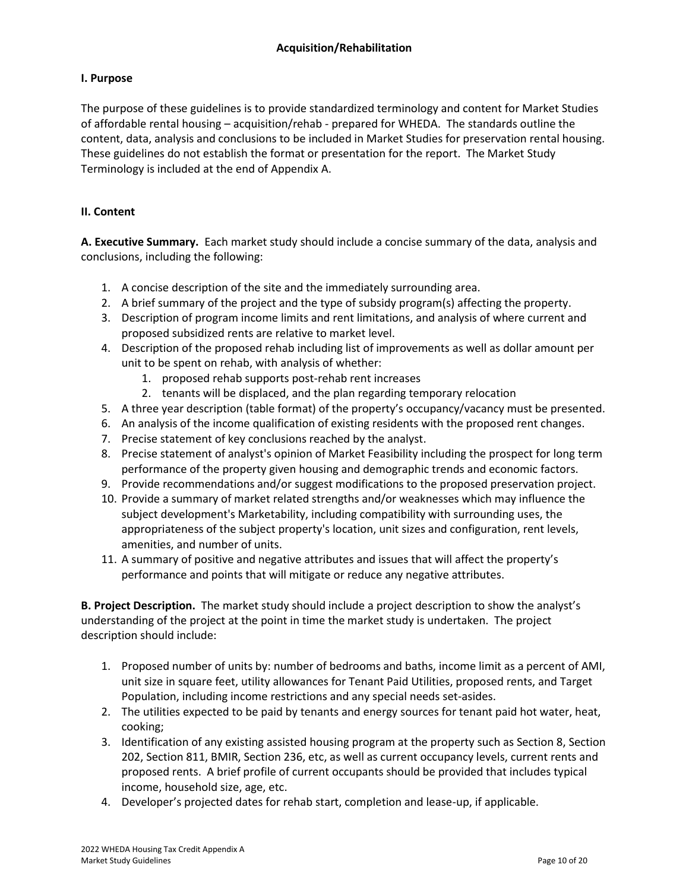### <span id="page-9-0"></span>**I. Purpose**

The purpose of these guidelines is to provide standardized terminology and content for Market Studies of affordable rental housing – acquisition/rehab - prepared for WHEDA. The standards outline the content, data, analysis and conclusions to be included in Market Studies for preservation rental housing. These guidelines do not establish the format or presentation for the report. The Market Study Terminology is included at the end of Appendix A.

### **II. Content**

**A. Executive Summary.** Each market study should include a concise summary of the data, analysis and conclusions, including the following:

- 1. A concise description of the site and the immediately surrounding area.
- 2. A brief summary of the project and the type of subsidy program(s) affecting the property.
- 3. Description of program income limits and rent limitations, and analysis of where current and proposed subsidized rents are relative to market level.
- 4. Description of the proposed rehab including list of improvements as well as dollar amount per unit to be spent on rehab, with analysis of whether:
	- 1. proposed rehab supports post-rehab rent increases
	- 2. tenants will be displaced, and the plan regarding temporary relocation
- 5. A three year description (table format) of the property's occupancy/vacancy must be presented.
- 6. An analysis of the income qualification of existing residents with the proposed rent changes.
- 7. Precise statement of key conclusions reached by the analyst.
- 8. Precise statement of analyst's opinion of Market Feasibility including the prospect for long term performance of the property given housing and demographic trends and economic factors.
- 9. Provide recommendations and/or suggest modifications to the proposed preservation project.
- 10. Provide a summary of market related strengths and/or weaknesses which may influence the subject development's Marketability, including compatibility with surrounding uses, the appropriateness of the subject property's location, unit sizes and configuration, rent levels, amenities, and number of units.
- 11. A summary of positive and negative attributes and issues that will affect the property's performance and points that will mitigate or reduce any negative attributes.

**B. Project Description.** The market study should include a project description to show the analyst's understanding of the project at the point in time the market study is undertaken. The project description should include:

- 1. Proposed number of units by: number of bedrooms and baths, income limit as a percent of AMI, unit size in square feet, utility allowances for Tenant Paid Utilities, proposed rents, and Target Population, including income restrictions and any special needs set-asides.
- 2. The utilities expected to be paid by tenants and energy sources for tenant paid hot water, heat, cooking;
- 3. Identification of any existing assisted housing program at the property such as Section 8, Section 202, Section 811, BMIR, Section 236, etc, as well as current occupancy levels, current rents and proposed rents. A brief profile of current occupants should be provided that includes typical income, household size, age, etc.
- 4. Developer's projected dates for rehab start, completion and lease-up, if applicable.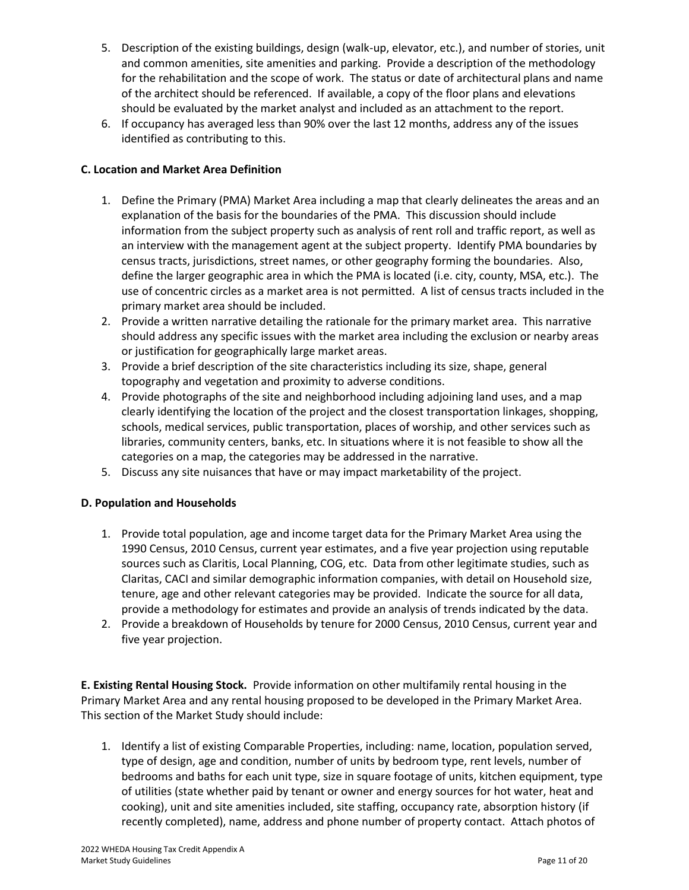- 5. Description of the existing buildings, design (walk-up, elevator, etc.), and number of stories, unit and common amenities, site amenities and parking. Provide a description of the methodology for the rehabilitation and the scope of work. The status or date of architectural plans and name of the architect should be referenced. If available, a copy of the floor plans and elevations should be evaluated by the market analyst and included as an attachment to the report.
- 6. If occupancy has averaged less than 90% over the last 12 months, address any of the issues identified as contributing to this.

## **C. Location and Market Area Definition**

- 1. Define the Primary (PMA) Market Area including a map that clearly delineates the areas and an explanation of the basis for the boundaries of the PMA. This discussion should include information from the subject property such as analysis of rent roll and traffic report, as well as an interview with the management agent at the subject property. Identify PMA boundaries by census tracts, jurisdictions, street names, or other geography forming the boundaries. Also, define the larger geographic area in which the PMA is located (i.e. city, county, MSA, etc.). The use of concentric circles as a market area is not permitted. A list of census tracts included in the primary market area should be included.
- 2. Provide a written narrative detailing the rationale for the primary market area. This narrative should address any specific issues with the market area including the exclusion or nearby areas or justification for geographically large market areas.
- 3. Provide a brief description of the site characteristics including its size, shape, general topography and vegetation and proximity to adverse conditions.
- 4. Provide photographs of the site and neighborhood including adjoining land uses, and a map clearly identifying the location of the project and the closest transportation linkages, shopping, schools, medical services, public transportation, places of worship, and other services such as libraries, community centers, banks, etc. In situations where it is not feasible to show all the categories on a map, the categories may be addressed in the narrative.
- 5. Discuss any site nuisances that have or may impact marketability of the project.

### **D. Population and Households**

- 1. Provide total population, age and income target data for the Primary Market Area using the 1990 Census, 2010 Census, current year estimates, and a five year projection using reputable sources such as Claritis, Local Planning, COG, etc. Data from other legitimate studies, such as Claritas, CACI and similar demographic information companies, with detail on Household size, tenure, age and other relevant categories may be provided. Indicate the source for all data, provide a methodology for estimates and provide an analysis of trends indicated by the data.
- 2. Provide a breakdown of Households by tenure for 2000 Census, 2010 Census, current year and five year projection.

**E. Existing Rental Housing Stock.** Provide information on other multifamily rental housing in the Primary Market Area and any rental housing proposed to be developed in the Primary Market Area. This section of the Market Study should include:

1. Identify a list of existing Comparable Properties, including: name, location, population served, type of design, age and condition, number of units by bedroom type, rent levels, number of bedrooms and baths for each unit type, size in square footage of units, kitchen equipment, type of utilities (state whether paid by tenant or owner and energy sources for hot water, heat and cooking), unit and site amenities included, site staffing, occupancy rate, absorption history (if recently completed), name, address and phone number of property contact. Attach photos of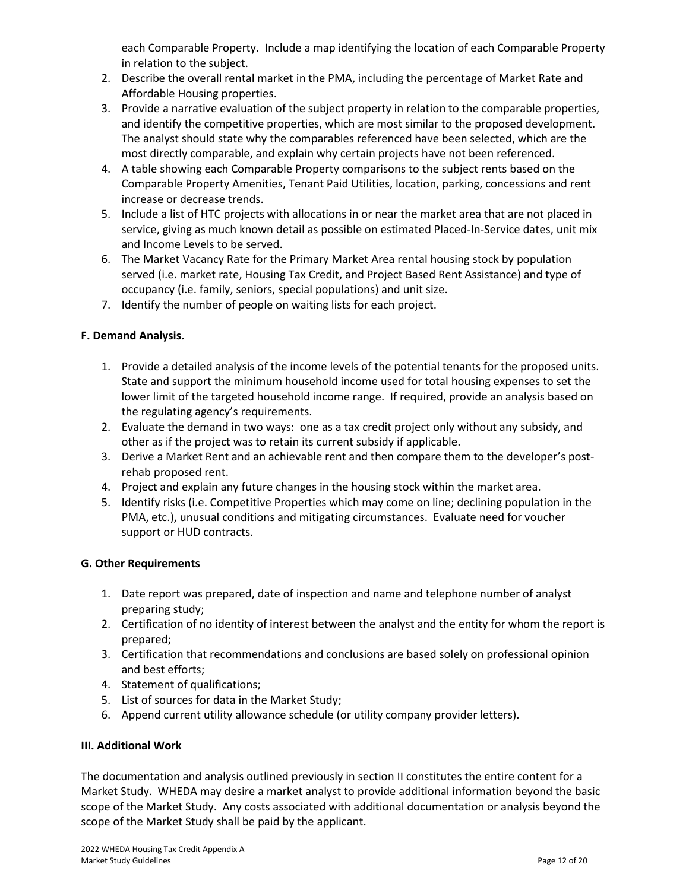each Comparable Property. Include a map identifying the location of each Comparable Property in relation to the subject.

- 2. Describe the overall rental market in the PMA, including the percentage of Market Rate and Affordable Housing properties.
- 3. Provide a narrative evaluation of the subject property in relation to the comparable properties, and identify the competitive properties, which are most similar to the proposed development. The analyst should state why the comparables referenced have been selected, which are the most directly comparable, and explain why certain projects have not been referenced.
- 4. A table showing each Comparable Property comparisons to the subject rents based on the Comparable Property Amenities, Tenant Paid Utilities, location, parking, concessions and rent increase or decrease trends.
- 5. Include a list of HTC projects with allocations in or near the market area that are not placed in service, giving as much known detail as possible on estimated Placed-In-Service dates, unit mix and Income Levels to be served.
- 6. The Market Vacancy Rate for the Primary Market Area rental housing stock by population served (i.e. market rate, Housing Tax Credit, and Project Based Rent Assistance) and type of occupancy (i.e. family, seniors, special populations) and unit size.
- 7. Identify the number of people on waiting lists for each project.

### **F. Demand Analysis.**

- 1. Provide a detailed analysis of the income levels of the potential tenants for the proposed units. State and support the minimum household income used for total housing expenses to set the lower limit of the targeted household income range. If required, provide an analysis based on the regulating agency's requirements.
- 2. Evaluate the demand in two ways: one as a tax credit project only without any subsidy, and other as if the project was to retain its current subsidy if applicable.
- 3. Derive a Market Rent and an achievable rent and then compare them to the developer's postrehab proposed rent.
- 4. Project and explain any future changes in the housing stock within the market area.
- 5. Identify risks (i.e. Competitive Properties which may come on line; declining population in the PMA, etc.), unusual conditions and mitigating circumstances. Evaluate need for voucher support or HUD contracts.

### **G. Other Requirements**

- 1. Date report was prepared, date of inspection and name and telephone number of analyst preparing study;
- 2. Certification of no identity of interest between the analyst and the entity for whom the report is prepared;
- 3. Certification that recommendations and conclusions are based solely on professional opinion and best efforts;
- 4. Statement of qualifications;
- 5. List of sources for data in the Market Study;
- 6. Append current utility allowance schedule (or utility company provider letters).

### **III. Additional Work**

The documentation and analysis outlined previously in section II constitutes the entire content for a Market Study. WHEDA may desire a market analyst to provide additional information beyond the basic scope of the Market Study. Any costs associated with additional documentation or analysis beyond the scope of the Market Study shall be paid by the applicant.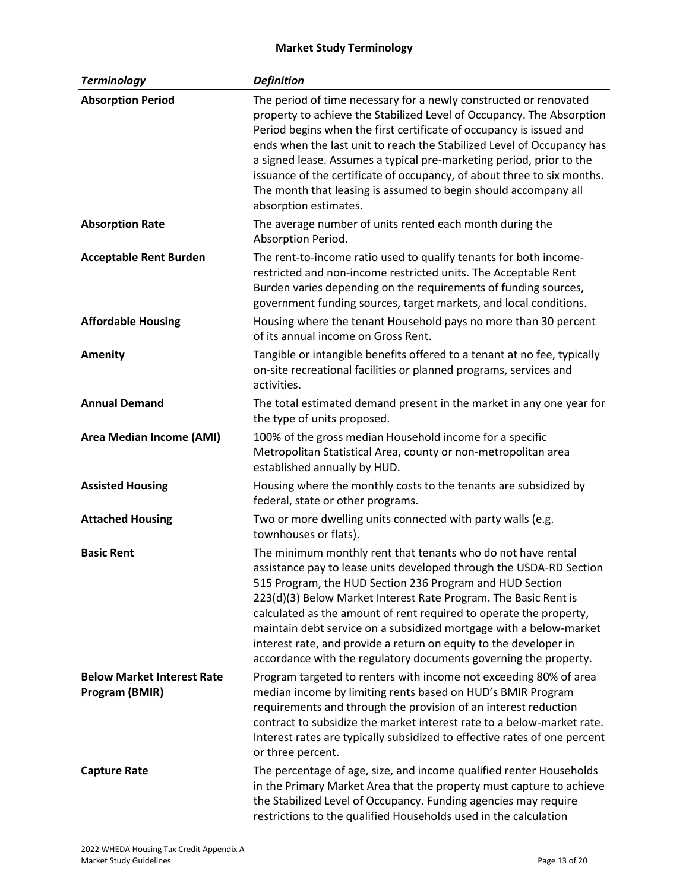# **Market Study Terminology**

<span id="page-12-0"></span>

| <b>Terminology</b>                                  | <b>Definition</b>                                                                                                                                                                                                                                                                                                                                                                                                                                                                                                                                       |
|-----------------------------------------------------|---------------------------------------------------------------------------------------------------------------------------------------------------------------------------------------------------------------------------------------------------------------------------------------------------------------------------------------------------------------------------------------------------------------------------------------------------------------------------------------------------------------------------------------------------------|
| <b>Absorption Period</b>                            | The period of time necessary for a newly constructed or renovated<br>property to achieve the Stabilized Level of Occupancy. The Absorption<br>Period begins when the first certificate of occupancy is issued and<br>ends when the last unit to reach the Stabilized Level of Occupancy has<br>a signed lease. Assumes a typical pre-marketing period, prior to the<br>issuance of the certificate of occupancy, of about three to six months.<br>The month that leasing is assumed to begin should accompany all<br>absorption estimates.              |
| <b>Absorption Rate</b>                              | The average number of units rented each month during the<br>Absorption Period.                                                                                                                                                                                                                                                                                                                                                                                                                                                                          |
| <b>Acceptable Rent Burden</b>                       | The rent-to-income ratio used to qualify tenants for both income-<br>restricted and non-income restricted units. The Acceptable Rent<br>Burden varies depending on the requirements of funding sources,<br>government funding sources, target markets, and local conditions.                                                                                                                                                                                                                                                                            |
| <b>Affordable Housing</b>                           | Housing where the tenant Household pays no more than 30 percent<br>of its annual income on Gross Rent.                                                                                                                                                                                                                                                                                                                                                                                                                                                  |
| <b>Amenity</b>                                      | Tangible or intangible benefits offered to a tenant at no fee, typically<br>on-site recreational facilities or planned programs, services and<br>activities.                                                                                                                                                                                                                                                                                                                                                                                            |
| <b>Annual Demand</b>                                | The total estimated demand present in the market in any one year for<br>the type of units proposed.                                                                                                                                                                                                                                                                                                                                                                                                                                                     |
| <b>Area Median Income (AMI)</b>                     | 100% of the gross median Household income for a specific<br>Metropolitan Statistical Area, county or non-metropolitan area<br>established annually by HUD.                                                                                                                                                                                                                                                                                                                                                                                              |
| <b>Assisted Housing</b>                             | Housing where the monthly costs to the tenants are subsidized by<br>federal, state or other programs.                                                                                                                                                                                                                                                                                                                                                                                                                                                   |
| <b>Attached Housing</b>                             | Two or more dwelling units connected with party walls (e.g.<br>townhouses or flats).                                                                                                                                                                                                                                                                                                                                                                                                                                                                    |
| <b>Basic Rent</b>                                   | The minimum monthly rent that tenants who do not have rental<br>assistance pay to lease units developed through the USDA-RD Section<br>515 Program, the HUD Section 236 Program and HUD Section<br>223(d)(3) Below Market Interest Rate Program. The Basic Rent is<br>calculated as the amount of rent required to operate the property,<br>maintain debt service on a subsidized mortgage with a below-market<br>interest rate, and provide a return on equity to the developer in<br>accordance with the regulatory documents governing the property. |
| <b>Below Market Interest Rate</b><br>Program (BMIR) | Program targeted to renters with income not exceeding 80% of area<br>median income by limiting rents based on HUD's BMIR Program<br>requirements and through the provision of an interest reduction<br>contract to subsidize the market interest rate to a below-market rate.<br>Interest rates are typically subsidized to effective rates of one percent<br>or three percent.                                                                                                                                                                         |
| <b>Capture Rate</b>                                 | The percentage of age, size, and income qualified renter Households<br>in the Primary Market Area that the property must capture to achieve<br>the Stabilized Level of Occupancy. Funding agencies may require<br>restrictions to the qualified Households used in the calculation                                                                                                                                                                                                                                                                      |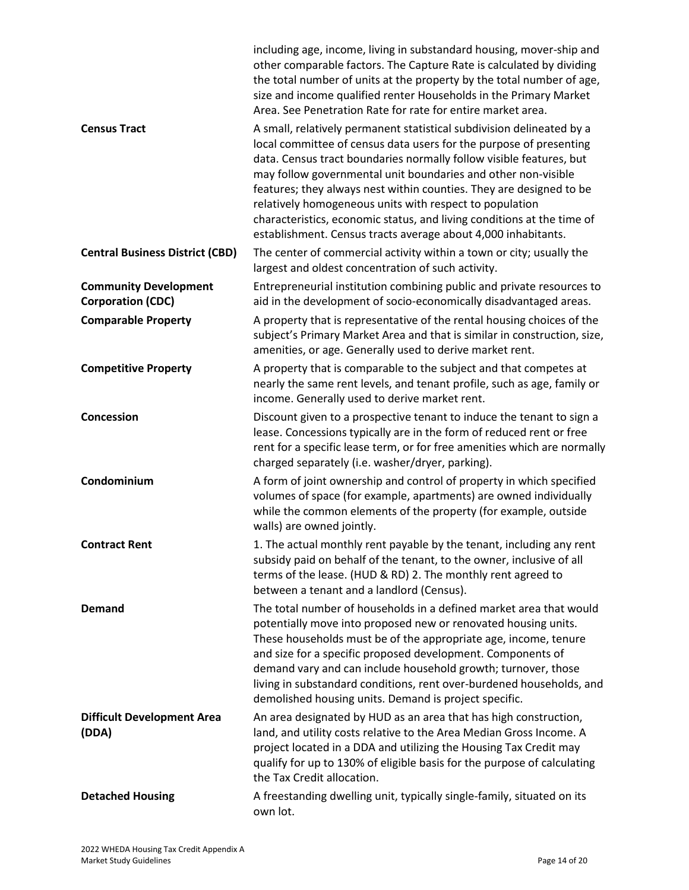|                                                          | including age, income, living in substandard housing, mover-ship and<br>other comparable factors. The Capture Rate is calculated by dividing<br>the total number of units at the property by the total number of age,<br>size and income qualified renter Households in the Primary Market<br>Area. See Penetration Rate for rate for entire market area.                                                                                                                                                                                                        |
|----------------------------------------------------------|------------------------------------------------------------------------------------------------------------------------------------------------------------------------------------------------------------------------------------------------------------------------------------------------------------------------------------------------------------------------------------------------------------------------------------------------------------------------------------------------------------------------------------------------------------------|
| <b>Census Tract</b>                                      | A small, relatively permanent statistical subdivision delineated by a<br>local committee of census data users for the purpose of presenting<br>data. Census tract boundaries normally follow visible features, but<br>may follow governmental unit boundaries and other non-visible<br>features; they always nest within counties. They are designed to be<br>relatively homogeneous units with respect to population<br>characteristics, economic status, and living conditions at the time of<br>establishment. Census tracts average about 4,000 inhabitants. |
| <b>Central Business District (CBD)</b>                   | The center of commercial activity within a town or city; usually the<br>largest and oldest concentration of such activity.                                                                                                                                                                                                                                                                                                                                                                                                                                       |
| <b>Community Development</b><br><b>Corporation (CDC)</b> | Entrepreneurial institution combining public and private resources to<br>aid in the development of socio-economically disadvantaged areas.                                                                                                                                                                                                                                                                                                                                                                                                                       |
| <b>Comparable Property</b>                               | A property that is representative of the rental housing choices of the<br>subject's Primary Market Area and that is similar in construction, size,<br>amenities, or age. Generally used to derive market rent.                                                                                                                                                                                                                                                                                                                                                   |
| <b>Competitive Property</b>                              | A property that is comparable to the subject and that competes at<br>nearly the same rent levels, and tenant profile, such as age, family or<br>income. Generally used to derive market rent.                                                                                                                                                                                                                                                                                                                                                                    |
| Concession                                               | Discount given to a prospective tenant to induce the tenant to sign a<br>lease. Concessions typically are in the form of reduced rent or free<br>rent for a specific lease term, or for free amenities which are normally<br>charged separately (i.e. washer/dryer, parking).                                                                                                                                                                                                                                                                                    |
| Condominium                                              | A form of joint ownership and control of property in which specified<br>volumes of space (for example, apartments) are owned individually<br>while the common elements of the property (for example, outside<br>walls) are owned jointly.                                                                                                                                                                                                                                                                                                                        |
| <b>Contract Rent</b>                                     | 1. The actual monthly rent payable by the tenant, including any rent<br>subsidy paid on behalf of the tenant, to the owner, inclusive of all<br>terms of the lease. (HUD & RD) 2. The monthly rent agreed to<br>between a tenant and a landlord (Census).                                                                                                                                                                                                                                                                                                        |
| <b>Demand</b>                                            | The total number of households in a defined market area that would<br>potentially move into proposed new or renovated housing units.<br>These households must be of the appropriate age, income, tenure<br>and size for a specific proposed development. Components of<br>demand vary and can include household growth; turnover, those<br>living in substandard conditions, rent over-burdened households, and<br>demolished housing units. Demand is project specific.                                                                                         |
| <b>Difficult Development Area</b><br>(DDA)               | An area designated by HUD as an area that has high construction,<br>land, and utility costs relative to the Area Median Gross Income. A<br>project located in a DDA and utilizing the Housing Tax Credit may<br>qualify for up to 130% of eligible basis for the purpose of calculating<br>the Tax Credit allocation.                                                                                                                                                                                                                                            |
| <b>Detached Housing</b>                                  | A freestanding dwelling unit, typically single-family, situated on its<br>own lot.                                                                                                                                                                                                                                                                                                                                                                                                                                                                               |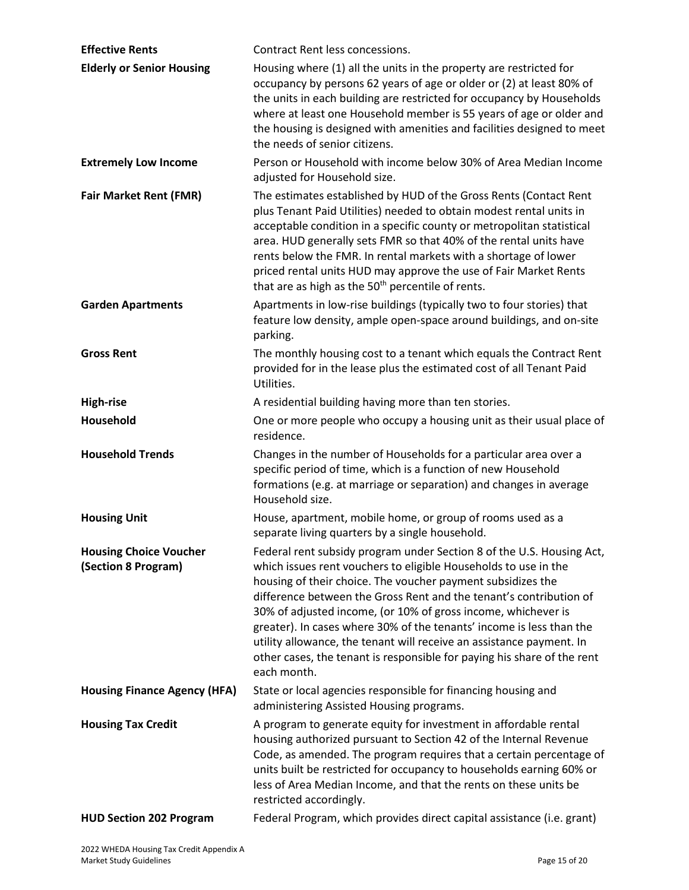| <b>Effective Rents</b>                               | Contract Rent less concessions.                                                                                                                                                                                                                                                                                                                                                                                                                                                                                                                                                          |
|------------------------------------------------------|------------------------------------------------------------------------------------------------------------------------------------------------------------------------------------------------------------------------------------------------------------------------------------------------------------------------------------------------------------------------------------------------------------------------------------------------------------------------------------------------------------------------------------------------------------------------------------------|
| <b>Elderly or Senior Housing</b>                     | Housing where (1) all the units in the property are restricted for<br>occupancy by persons 62 years of age or older or (2) at least 80% of<br>the units in each building are restricted for occupancy by Households<br>where at least one Household member is 55 years of age or older and<br>the housing is designed with amenities and facilities designed to meet<br>the needs of senior citizens.                                                                                                                                                                                    |
| <b>Extremely Low Income</b>                          | Person or Household with income below 30% of Area Median Income<br>adjusted for Household size.                                                                                                                                                                                                                                                                                                                                                                                                                                                                                          |
| <b>Fair Market Rent (FMR)</b>                        | The estimates established by HUD of the Gross Rents (Contact Rent<br>plus Tenant Paid Utilities) needed to obtain modest rental units in<br>acceptable condition in a specific county or metropolitan statistical<br>area. HUD generally sets FMR so that 40% of the rental units have<br>rents below the FMR. In rental markets with a shortage of lower<br>priced rental units HUD may approve the use of Fair Market Rents<br>that are as high as the 50 <sup>th</sup> percentile of rents.                                                                                           |
| <b>Garden Apartments</b>                             | Apartments in low-rise buildings (typically two to four stories) that<br>feature low density, ample open-space around buildings, and on-site<br>parking.                                                                                                                                                                                                                                                                                                                                                                                                                                 |
| <b>Gross Rent</b>                                    | The monthly housing cost to a tenant which equals the Contract Rent<br>provided for in the lease plus the estimated cost of all Tenant Paid<br>Utilities.                                                                                                                                                                                                                                                                                                                                                                                                                                |
| <b>High-rise</b>                                     | A residential building having more than ten stories.                                                                                                                                                                                                                                                                                                                                                                                                                                                                                                                                     |
| Household                                            | One or more people who occupy a housing unit as their usual place of<br>residence.                                                                                                                                                                                                                                                                                                                                                                                                                                                                                                       |
| <b>Household Trends</b>                              | Changes in the number of Households for a particular area over a<br>specific period of time, which is a function of new Household<br>formations (e.g. at marriage or separation) and changes in average<br>Household size.                                                                                                                                                                                                                                                                                                                                                               |
| <b>Housing Unit</b>                                  | House, apartment, mobile home, or group of rooms used as a<br>separate living quarters by a single household.                                                                                                                                                                                                                                                                                                                                                                                                                                                                            |
| <b>Housing Choice Voucher</b><br>(Section 8 Program) | Federal rent subsidy program under Section 8 of the U.S. Housing Act,<br>which issues rent vouchers to eligible Households to use in the<br>housing of their choice. The voucher payment subsidizes the<br>difference between the Gross Rent and the tenant's contribution of<br>30% of adjusted income, (or 10% of gross income, whichever is<br>greater). In cases where 30% of the tenants' income is less than the<br>utility allowance, the tenant will receive an assistance payment. In<br>other cases, the tenant is responsible for paying his share of the rent<br>each month. |
| <b>Housing Finance Agency (HFA)</b>                  | State or local agencies responsible for financing housing and<br>administering Assisted Housing programs.                                                                                                                                                                                                                                                                                                                                                                                                                                                                                |
| <b>Housing Tax Credit</b>                            | A program to generate equity for investment in affordable rental<br>housing authorized pursuant to Section 42 of the Internal Revenue<br>Code, as amended. The program requires that a certain percentage of<br>units built be restricted for occupancy to households earning 60% or<br>less of Area Median Income, and that the rents on these units be<br>restricted accordingly.                                                                                                                                                                                                      |
| <b>HUD Section 202 Program</b>                       | Federal Program, which provides direct capital assistance (i.e. grant)                                                                                                                                                                                                                                                                                                                                                                                                                                                                                                                   |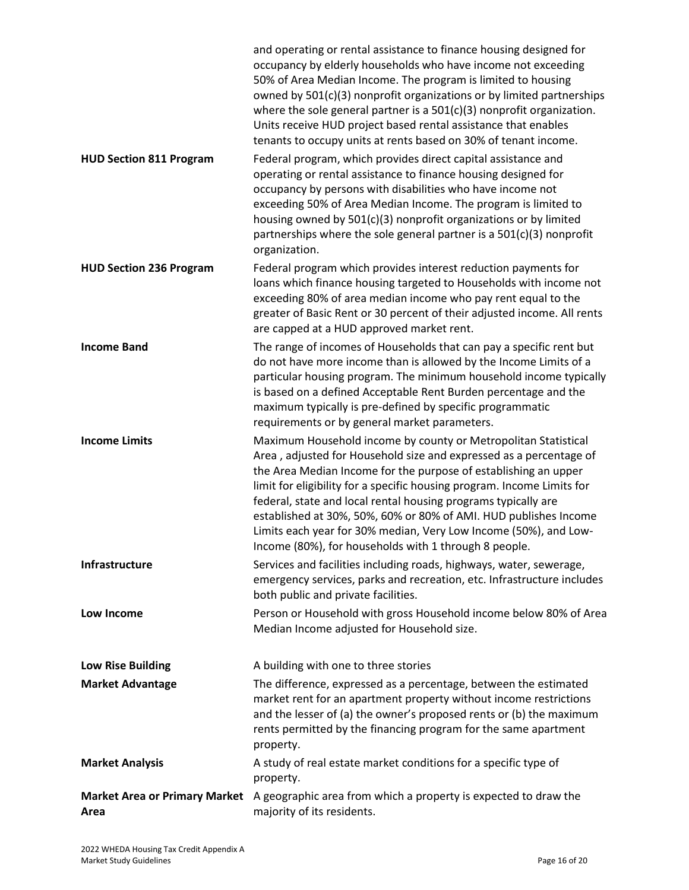|                                              | and operating or rental assistance to finance housing designed for<br>occupancy by elderly households who have income not exceeding<br>50% of Area Median Income. The program is limited to housing<br>owned by 501(c)(3) nonprofit organizations or by limited partnerships<br>where the sole general partner is a 501(c)(3) nonprofit organization.<br>Units receive HUD project based rental assistance that enables<br>tenants to occupy units at rents based on 30% of tenant income.                                                            |
|----------------------------------------------|-------------------------------------------------------------------------------------------------------------------------------------------------------------------------------------------------------------------------------------------------------------------------------------------------------------------------------------------------------------------------------------------------------------------------------------------------------------------------------------------------------------------------------------------------------|
| <b>HUD Section 811 Program</b>               | Federal program, which provides direct capital assistance and<br>operating or rental assistance to finance housing designed for<br>occupancy by persons with disabilities who have income not<br>exceeding 50% of Area Median Income. The program is limited to<br>housing owned by 501(c)(3) nonprofit organizations or by limited<br>partnerships where the sole general partner is a $501(c)(3)$ nonprofit<br>organization.                                                                                                                        |
| <b>HUD Section 236 Program</b>               | Federal program which provides interest reduction payments for<br>loans which finance housing targeted to Households with income not<br>exceeding 80% of area median income who pay rent equal to the<br>greater of Basic Rent or 30 percent of their adjusted income. All rents<br>are capped at a HUD approved market rent.                                                                                                                                                                                                                         |
| <b>Income Band</b>                           | The range of incomes of Households that can pay a specific rent but<br>do not have more income than is allowed by the Income Limits of a<br>particular housing program. The minimum household income typically<br>is based on a defined Acceptable Rent Burden percentage and the<br>maximum typically is pre-defined by specific programmatic<br>requirements or by general market parameters.                                                                                                                                                       |
| <b>Income Limits</b>                         | Maximum Household income by county or Metropolitan Statistical<br>Area, adjusted for Household size and expressed as a percentage of<br>the Area Median Income for the purpose of establishing an upper<br>limit for eligibility for a specific housing program. Income Limits for<br>federal, state and local rental housing programs typically are<br>established at 30%, 50%, 60% or 80% of AMI. HUD publishes Income<br>Limits each year for 30% median, Very Low Income (50%), and Low-<br>Income (80%), for households with 1 through 8 people. |
| <b>Infrastructure</b>                        | Services and facilities including roads, highways, water, sewerage,<br>emergency services, parks and recreation, etc. Infrastructure includes<br>both public and private facilities.                                                                                                                                                                                                                                                                                                                                                                  |
| Low Income                                   | Person or Household with gross Household income below 80% of Area<br>Median Income adjusted for Household size.                                                                                                                                                                                                                                                                                                                                                                                                                                       |
| <b>Low Rise Building</b>                     | A building with one to three stories                                                                                                                                                                                                                                                                                                                                                                                                                                                                                                                  |
| <b>Market Advantage</b>                      | The difference, expressed as a percentage, between the estimated<br>market rent for an apartment property without income restrictions<br>and the lesser of (a) the owner's proposed rents or (b) the maximum<br>rents permitted by the financing program for the same apartment<br>property.                                                                                                                                                                                                                                                          |
| <b>Market Analysis</b>                       | A study of real estate market conditions for a specific type of<br>property.                                                                                                                                                                                                                                                                                                                                                                                                                                                                          |
| <b>Market Area or Primary Market</b><br>Area | A geographic area from which a property is expected to draw the<br>majority of its residents.                                                                                                                                                                                                                                                                                                                                                                                                                                                         |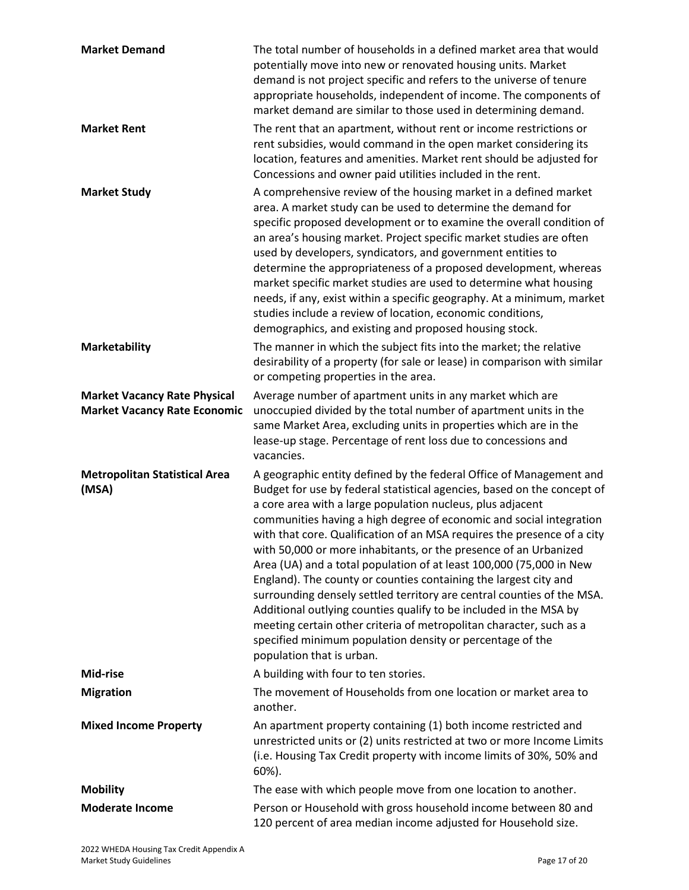| <b>Market Demand</b>                                                       | The total number of households in a defined market area that would<br>potentially move into new or renovated housing units. Market<br>demand is not project specific and refers to the universe of tenure<br>appropriate households, independent of income. The components of<br>market demand are similar to those used in determining demand.                                                                                                                                                                                                                                                                                                                                           |
|----------------------------------------------------------------------------|-------------------------------------------------------------------------------------------------------------------------------------------------------------------------------------------------------------------------------------------------------------------------------------------------------------------------------------------------------------------------------------------------------------------------------------------------------------------------------------------------------------------------------------------------------------------------------------------------------------------------------------------------------------------------------------------|
| <b>Market Rent</b>                                                         | The rent that an apartment, without rent or income restrictions or<br>rent subsidies, would command in the open market considering its<br>location, features and amenities. Market rent should be adjusted for<br>Concessions and owner paid utilities included in the rent.                                                                                                                                                                                                                                                                                                                                                                                                              |
| <b>Market Study</b>                                                        | A comprehensive review of the housing market in a defined market<br>area. A market study can be used to determine the demand for<br>specific proposed development or to examine the overall condition of<br>an area's housing market. Project specific market studies are often<br>used by developers, syndicators, and government entities to<br>determine the appropriateness of a proposed development, whereas<br>market specific market studies are used to determine what housing<br>needs, if any, exist within a specific geography. At a minimum, market<br>studies include a review of location, economic conditions,<br>demographics, and existing and proposed housing stock. |
| <b>Marketability</b>                                                       | The manner in which the subject fits into the market; the relative<br>desirability of a property (for sale or lease) in comparison with similar<br>or competing properties in the area.                                                                                                                                                                                                                                                                                                                                                                                                                                                                                                   |
| <b>Market Vacancy Rate Physical</b><br><b>Market Vacancy Rate Economic</b> | Average number of apartment units in any market which are<br>unoccupied divided by the total number of apartment units in the<br>same Market Area, excluding units in properties which are in the<br>lease-up stage. Percentage of rent loss due to concessions and<br>vacancies.                                                                                                                                                                                                                                                                                                                                                                                                         |
| <b>Metropolitan Statistical Area</b><br>(MSA)                              | A geographic entity defined by the federal Office of Management and<br>Budget for use by federal statistical agencies, based on the concept of<br>a core area with a large population nucleus, plus adjacent<br>communities having a high degree of economic and social integration<br>with that core. Qualification of an MSA requires the presence of a city<br>with 50,000 or more inhabitants, or the presence of an Urbanized<br>Area (UA) and a total population of at least 100,000 (75,000 in New                                                                                                                                                                                 |
|                                                                            | England). The county or counties containing the largest city and<br>surrounding densely settled territory are central counties of the MSA.<br>Additional outlying counties qualify to be included in the MSA by<br>meeting certain other criteria of metropolitan character, such as a<br>specified minimum population density or percentage of the<br>population that is urban.                                                                                                                                                                                                                                                                                                          |
| Mid-rise                                                                   | A building with four to ten stories.                                                                                                                                                                                                                                                                                                                                                                                                                                                                                                                                                                                                                                                      |
| <b>Migration</b>                                                           | The movement of Households from one location or market area to<br>another.                                                                                                                                                                                                                                                                                                                                                                                                                                                                                                                                                                                                                |
| <b>Mixed Income Property</b>                                               | An apartment property containing (1) both income restricted and<br>unrestricted units or (2) units restricted at two or more Income Limits<br>(i.e. Housing Tax Credit property with income limits of 30%, 50% and<br>60%).                                                                                                                                                                                                                                                                                                                                                                                                                                                               |
| <b>Mobility</b>                                                            | The ease with which people move from one location to another.                                                                                                                                                                                                                                                                                                                                                                                                                                                                                                                                                                                                                             |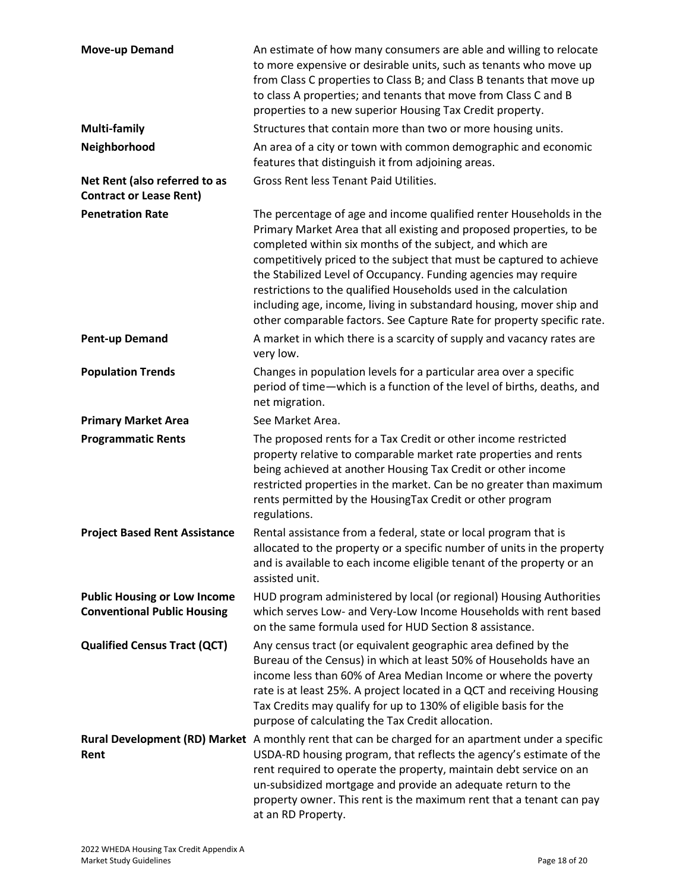| <b>Move-up Demand</b>                                                     | An estimate of how many consumers are able and willing to relocate<br>to more expensive or desirable units, such as tenants who move up<br>from Class C properties to Class B; and Class B tenants that move up<br>to class A properties; and tenants that move from Class C and B<br>properties to a new superior Housing Tax Credit property.                                                                                                                                                                                                                           |
|---------------------------------------------------------------------------|---------------------------------------------------------------------------------------------------------------------------------------------------------------------------------------------------------------------------------------------------------------------------------------------------------------------------------------------------------------------------------------------------------------------------------------------------------------------------------------------------------------------------------------------------------------------------|
| <b>Multi-family</b>                                                       | Structures that contain more than two or more housing units.                                                                                                                                                                                                                                                                                                                                                                                                                                                                                                              |
| Neighborhood                                                              | An area of a city or town with common demographic and economic<br>features that distinguish it from adjoining areas.                                                                                                                                                                                                                                                                                                                                                                                                                                                      |
| Net Rent (also referred to as<br><b>Contract or Lease Rent)</b>           | Gross Rent less Tenant Paid Utilities.                                                                                                                                                                                                                                                                                                                                                                                                                                                                                                                                    |
| <b>Penetration Rate</b>                                                   | The percentage of age and income qualified renter Households in the<br>Primary Market Area that all existing and proposed properties, to be<br>completed within six months of the subject, and which are<br>competitively priced to the subject that must be captured to achieve<br>the Stabilized Level of Occupancy. Funding agencies may require<br>restrictions to the qualified Households used in the calculation<br>including age, income, living in substandard housing, mover ship and<br>other comparable factors. See Capture Rate for property specific rate. |
| <b>Pent-up Demand</b>                                                     | A market in which there is a scarcity of supply and vacancy rates are<br>very low.                                                                                                                                                                                                                                                                                                                                                                                                                                                                                        |
| <b>Population Trends</b>                                                  | Changes in population levels for a particular area over a specific<br>period of time-which is a function of the level of births, deaths, and<br>net migration.                                                                                                                                                                                                                                                                                                                                                                                                            |
| <b>Primary Market Area</b>                                                | See Market Area.                                                                                                                                                                                                                                                                                                                                                                                                                                                                                                                                                          |
| <b>Programmatic Rents</b>                                                 | The proposed rents for a Tax Credit or other income restricted<br>property relative to comparable market rate properties and rents<br>being achieved at another Housing Tax Credit or other income<br>restricted properties in the market. Can be no greater than maximum<br>rents permitted by the HousingTax Credit or other program<br>regulations.                                                                                                                                                                                                                    |
| <b>Project Based Rent Assistance</b>                                      | Rental assistance from a federal, state or local program that is<br>allocated to the property or a specific number of units in the property<br>and is available to each income eligible tenant of the property or an<br>assisted unit.                                                                                                                                                                                                                                                                                                                                    |
| <b>Public Housing or Low Income</b><br><b>Conventional Public Housing</b> | HUD program administered by local (or regional) Housing Authorities<br>which serves Low- and Very-Low Income Households with rent based<br>on the same formula used for HUD Section 8 assistance.                                                                                                                                                                                                                                                                                                                                                                         |
| <b>Qualified Census Tract (QCT)</b>                                       | Any census tract (or equivalent geographic area defined by the<br>Bureau of the Census) in which at least 50% of Households have an<br>income less than 60% of Area Median Income or where the poverty<br>rate is at least 25%. A project located in a QCT and receiving Housing<br>Tax Credits may qualify for up to 130% of eligible basis for the<br>purpose of calculating the Tax Credit allocation.                                                                                                                                                                 |
| Rent                                                                      | Rural Development (RD) Market A monthly rent that can be charged for an apartment under a specific<br>USDA-RD housing program, that reflects the agency's estimate of the<br>rent required to operate the property, maintain debt service on an<br>un-subsidized mortgage and provide an adequate return to the<br>property owner. This rent is the maximum rent that a tenant can pay<br>at an RD Property.                                                                                                                                                              |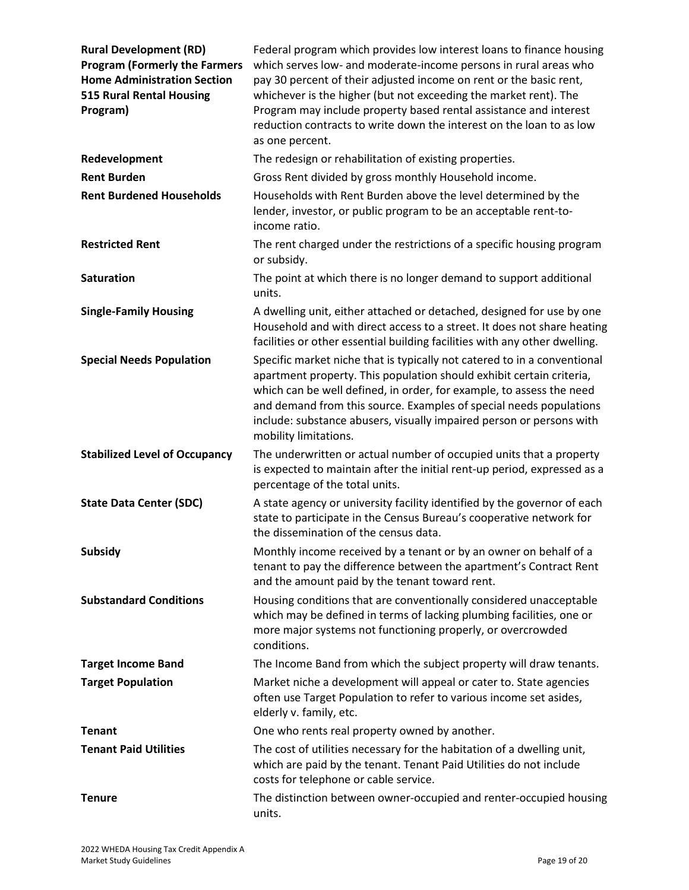| <b>Rural Development (RD)</b><br><b>Program (Formerly the Farmers</b><br><b>Home Administration Section</b><br><b>515 Rural Rental Housing</b><br>Program) | Federal program which provides low interest loans to finance housing<br>which serves low- and moderate-income persons in rural areas who<br>pay 30 percent of their adjusted income on rent or the basic rent,<br>whichever is the higher (but not exceeding the market rent). The<br>Program may include property based rental assistance and interest<br>reduction contracts to write down the interest on the loan to as low<br>as one percent. |
|------------------------------------------------------------------------------------------------------------------------------------------------------------|----------------------------------------------------------------------------------------------------------------------------------------------------------------------------------------------------------------------------------------------------------------------------------------------------------------------------------------------------------------------------------------------------------------------------------------------------|
| Redevelopment                                                                                                                                              | The redesign or rehabilitation of existing properties.                                                                                                                                                                                                                                                                                                                                                                                             |
| <b>Rent Burden</b>                                                                                                                                         | Gross Rent divided by gross monthly Household income.                                                                                                                                                                                                                                                                                                                                                                                              |
| <b>Rent Burdened Households</b>                                                                                                                            | Households with Rent Burden above the level determined by the<br>lender, investor, or public program to be an acceptable rent-to-<br>income ratio.                                                                                                                                                                                                                                                                                                 |
| <b>Restricted Rent</b>                                                                                                                                     | The rent charged under the restrictions of a specific housing program<br>or subsidy.                                                                                                                                                                                                                                                                                                                                                               |
| <b>Saturation</b>                                                                                                                                          | The point at which there is no longer demand to support additional<br>units.                                                                                                                                                                                                                                                                                                                                                                       |
| <b>Single-Family Housing</b>                                                                                                                               | A dwelling unit, either attached or detached, designed for use by one<br>Household and with direct access to a street. It does not share heating<br>facilities or other essential building facilities with any other dwelling.                                                                                                                                                                                                                     |
| <b>Special Needs Population</b>                                                                                                                            | Specific market niche that is typically not catered to in a conventional<br>apartment property. This population should exhibit certain criteria,<br>which can be well defined, in order, for example, to assess the need<br>and demand from this source. Examples of special needs populations<br>include: substance abusers, visually impaired person or persons with<br>mobility limitations.                                                    |
| <b>Stabilized Level of Occupancy</b>                                                                                                                       | The underwritten or actual number of occupied units that a property<br>is expected to maintain after the initial rent-up period, expressed as a<br>percentage of the total units.                                                                                                                                                                                                                                                                  |
| <b>State Data Center (SDC)</b>                                                                                                                             | A state agency or university facility identified by the governor of each<br>state to participate in the Census Bureau's cooperative network for<br>the dissemination of the census data.                                                                                                                                                                                                                                                           |
| <b>Subsidy</b>                                                                                                                                             | Monthly income received by a tenant or by an owner on behalf of a<br>tenant to pay the difference between the apartment's Contract Rent<br>and the amount paid by the tenant toward rent.                                                                                                                                                                                                                                                          |
| <b>Substandard Conditions</b>                                                                                                                              | Housing conditions that are conventionally considered unacceptable<br>which may be defined in terms of lacking plumbing facilities, one or<br>more major systems not functioning properly, or overcrowded<br>conditions.                                                                                                                                                                                                                           |
| <b>Target Income Band</b>                                                                                                                                  | The Income Band from which the subject property will draw tenants.                                                                                                                                                                                                                                                                                                                                                                                 |
| <b>Target Population</b>                                                                                                                                   | Market niche a development will appeal or cater to. State agencies<br>often use Target Population to refer to various income set asides,<br>elderly v. family, etc.                                                                                                                                                                                                                                                                                |
| <b>Tenant</b>                                                                                                                                              | One who rents real property owned by another.                                                                                                                                                                                                                                                                                                                                                                                                      |
| <b>Tenant Paid Utilities</b>                                                                                                                               | The cost of utilities necessary for the habitation of a dwelling unit,<br>which are paid by the tenant. Tenant Paid Utilities do not include<br>costs for telephone or cable service.                                                                                                                                                                                                                                                              |
| <b>Tenure</b>                                                                                                                                              | The distinction between owner-occupied and renter-occupied housing<br>units.                                                                                                                                                                                                                                                                                                                                                                       |